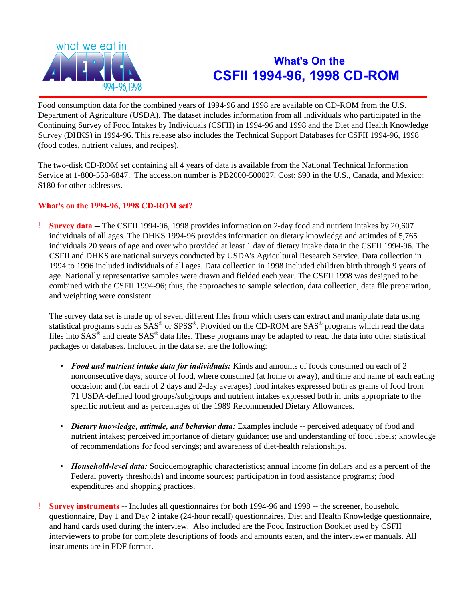

## **What's On the CSFII 1994-96, 1998 CD-ROM**

Food consumption data for the combined years of 1994-96 and 1998 are available on CD-ROM from the U.S. Department of Agriculture (USDA). The dataset includes information from all individuals who participated in the Continuing Survey of Food Intakes by Individuals (CSFII) in 1994-96 and 1998 and the Diet and Health Knowledge Survey (DHKS) in 1994-96. This release also includes the Technical Support Databases for CSFII 1994-96, 1998 (food codes, nutrient values, and recipes).

The two-disk CD-ROM set containing all 4 years of data is available from the National Technical Information Service at 1-800-553-6847. The accession number is PB2000-500027. Cost: \$90 in the U.S., Canada, and Mexico; \$180 for other addresses.

## **What's on the 1994-96, 1998 CD-ROM set?**

! **Survey data --** The CSFII 1994-96, 1998 provides information on 2-day food and nutrient intakes by 20,607 individuals of all ages. The DHKS 1994-96 provides information on dietary knowledge and attitudes of 5,765 individuals 20 years of age and over who provided at least 1 day of dietary intake data in the CSFII 1994-96. The CSFII and DHKS are national surveys conducted by USDA's Agricultural Research Service. Data collection in 1994 to 1996 included individuals of all ages. Data collection in 1998 included children birth through 9 years of age. Nationally representative samples were drawn and fielded each year. The CSFII 1998 was designed to be combined with the CSFII 1994-96; thus, the approaches to sample selection, data collection, data file preparation, and weighting were consistent.

The survey data set is made up of seven different files from which users can extract and manipulate data using statistical programs such as  $SAS^{\circledast}$  or  $SPSS^{\circledast}$ . Provided on the CD-ROM are  $SAS^{\circledast}$  programs which read the data files into  $SAS^{\circledast}$  and create  $SAS^{\circledast}$  data files. These programs may be adapted to read the data into other statistical packages or databases. Included in the data set are the following:

- *Food and nutrient intake data for individuals:* Kinds and amounts of foods consumed on each of 2 nonconsecutive days; source of food, where consumed (at home or away), and time and name of each eating occasion; and (for each of 2 days and 2-day averages) food intakes expressed both as grams of food from 71 USDA-defined food groups/subgroups and nutrient intakes expressed both in units appropriate to the specific nutrient and as percentages of the 1989 Recommended Dietary Allowances.
- *Dietary knowledge, attitude, and behavior data:* Examples include -- perceived adequacy of food and nutrient intakes; perceived importance of dietary guidance; use and understanding of food labels; knowledge of recommendations for food servings; and awareness of diet-health relationships.
- *Household-level data:* Sociodemographic characteristics; annual income (in dollars and as a percent of the Federal poverty thresholds) and income sources; participation in food assistance programs; food expenditures and shopping practices.
- ! **Survey instruments** -- Includes all questionnaires for both 1994-96 and 1998 -- the screener, household questionnaire, Day 1 and Day 2 intake (24-hour recall) questionnaires, Diet and Health Knowledge questionnaire, and hand cards used during the interview. Also included are the Food Instruction Booklet used by CSFII interviewers to probe for complete descriptions of foods and amounts eaten, and the interviewer manuals. All instruments are in PDF format.